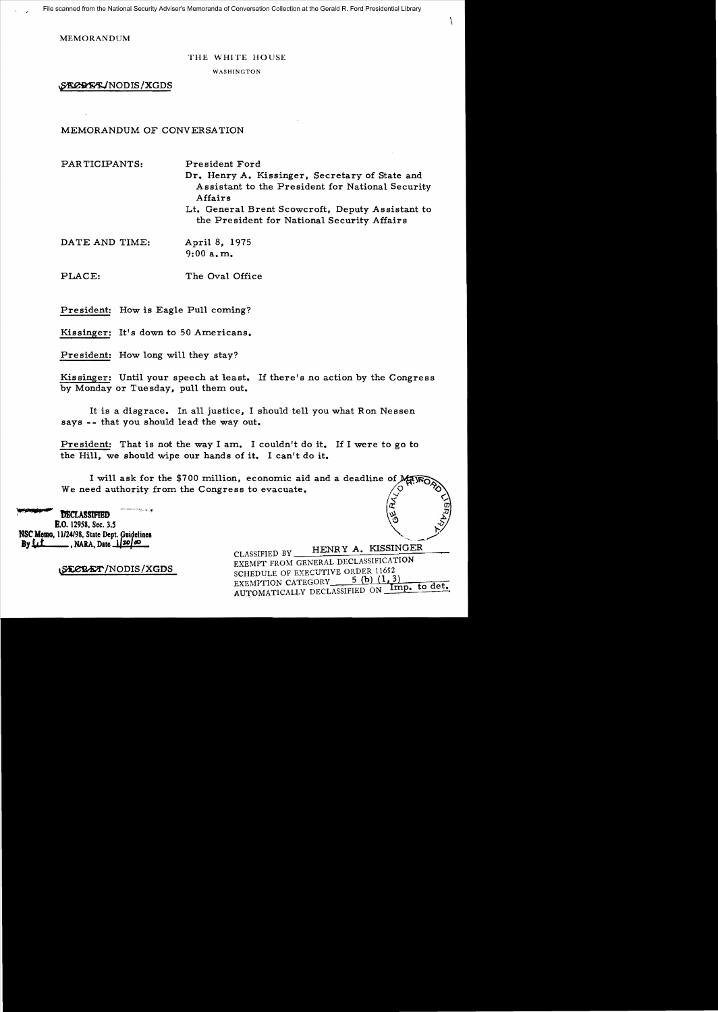**MEMORANDUM** 

## THE WHITE HOUSE

**WASHINGTON** 

SECRET/NODIS/XGDS

MEMORANDUM OF CONVERSATION

PARTICIPANTS:

President Ford

Dr. Henry A. Kissinger, Secretary of State and Assistant to the President for National Security Affairs

Lt. General Brent Scowcroft, Deputy Assistant to the President for National Security Affairs

DATE AND TIME: April 8, 1975  $9:00a.m.$ 

PLACE: The Oval Office

President: How is Eagle Pull coming?

Kissinger: It's down to 50 Americans.

President: How long will they stay?

Kissinger: Until your speech at least. If there's no action by the Congress by Monday or Tuesday, pull them out.

It is a disgrace. In all justice, I should tell you what Ron Nessen says -- that you should lead the way out.

President: That is not the way I am. I couldn't do it. If I were to go to the Hill, we should wipe our hands of it. I can't do it.

I will ask for the \$700 million, economic aid and a deadline of May We need authority from the Congress to evacuate.

**DECLASSIFIED** E.O. 12958, Sec. 3.5 NSC Memo, 11/24/98, State Dept. Guidelines  $BvLL$  $\frac{1}{20}$ , NARA, Date  $\frac{1}{20}$  60

STOBET/NODIS/XGDS

HENRY A. KISSINGER CLASSIFIED BY EXEMPT FROM GENERAL DECLASSIFICATION SCHEDULE OF EXECUTIVE ORDER 11652 5 (b)  $(1, 3)$ EXEMPTION CATEGORY AUTOMATICALLY DECLASSIFIED ON Imp. to det.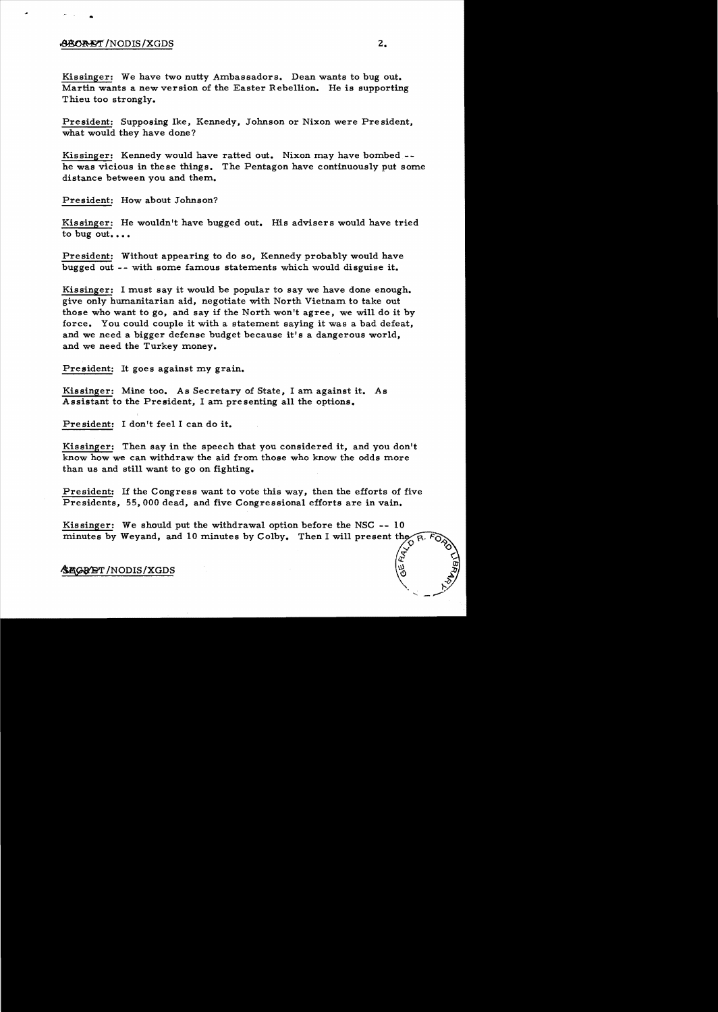## ~/NODIS/XGDS 2.

•

Kissinger: We have two nutty Ambassadors. Dean wants to bug out. Martin wants a new version of the Easter Rebellion. He is supporting Thieu too strongly.

President: Supposing Ike, Kennedy, Johnson or Nixon were President, what would they have done?

Kissinger: Kennedy would have ratted out. Nixon may have bombed he was vicious in these things. The Pentagon have continuously put some distance between you and them.

President: How about Johnson?

Kissinger: He wouldn't have bugged out. His advisers would have tried to bug out....

President: Without appearing to do so, Kennedy probably would have bugged out -- with some famous statements which would disguise it.

Kissinger: I must say it would be popular to say we have done enough. give only humanitarian aid, negotiate with North Vietnam to take out those who want to go, and say if the North won't agree, we will do it by force. You could couple it with a statement saying it was a bad defeat, and we need a bigger defense budget because it's a dangerous world, and we need the Turkey money.

President: It goes against my grain.

Kissinger: Mine too. As Secretary of State, I am against it. As Assistant to the President, I am presenting all the options.

President: I don't feel I can do it.

Kissinger: Then say in the speech that you considered it, and you don't know how we can withdraw the aid from those who know the odds more than us and still want to go on fighting.

President: If the Congress want to vote this way, then the efforts of five Presidents, 55,000 dead, and five Congressional efforts are in vain.

Kissinger: We should put the withdrawal option before the NSC -- 10 minutes by Weyand, and 10 minutes by Colby. Then I will present the  $\mathbb{Z}^{\circ}$  in  $\mathbb{Z}^{\circ}$ 

~/NODIS/XGDS ~

 $\alpha$ ."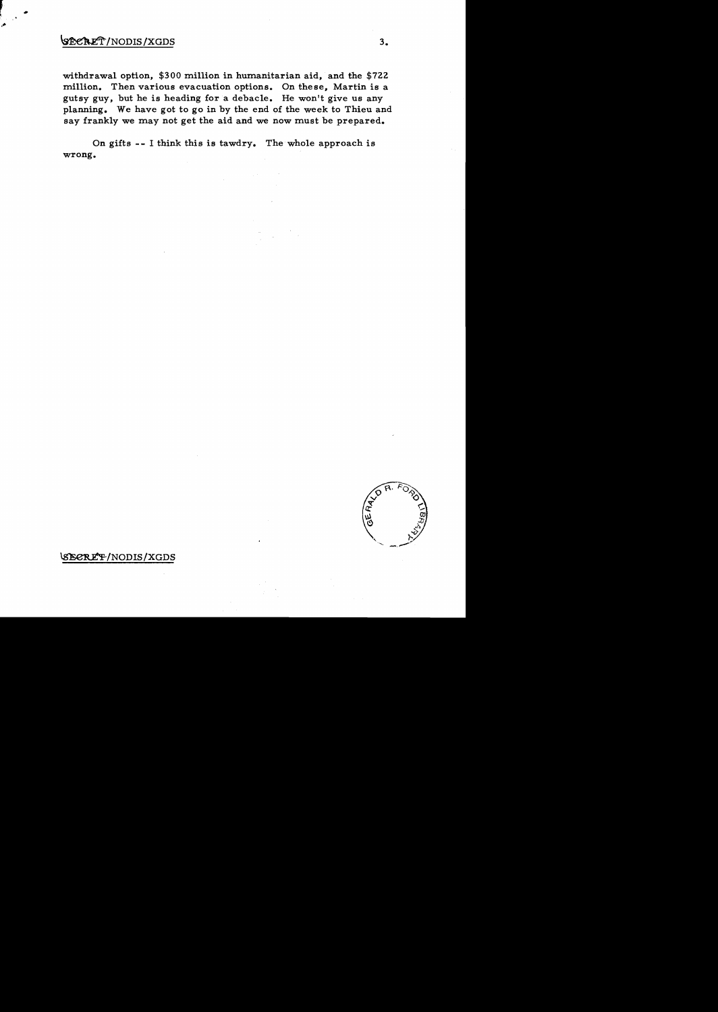## $\sqrt{\text{SEERET}}$ /NODIS/XGDS 3.

withdrawal option,  $$300$  million in humanitarian aid, and the  $$722$ million. Then various evacuation options. On these, Martin is a gutsy guy, but he is heading for a debacle. He won't give us any planning. We have got to go in by the end of the week to Thieu and say frankly we may not get the aid and we now must be prepared.

On gifts -- I think this is tawdry. The whole approach is wrong.



~/NODIS/XGDS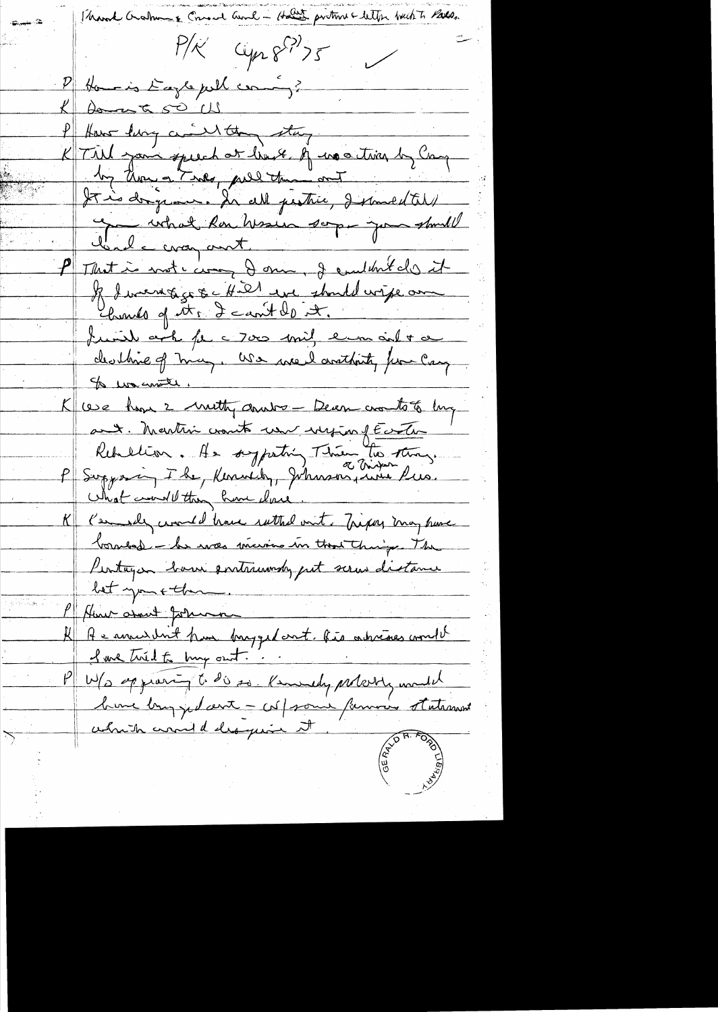- Hour protone clethe back to Partie. March Graham  $P/K'$  Cyn 8 ?? ) 5 Home is Eagle pull coming? Domat 50 US How live a Inthe stay K Till your speech or have of us a time by Can by thought nes, pull the out It is dry now. In all pestice, I small tell Conde croy and mesure soppe pour should P Motion vote comp dans, je emble des it Il diverse que 4.21 en standardise au Charles of its 2 can't do it. funit ark for a 7000 mil erra and + a deathine of may, We we I arothing for Cay Is wonter. K use home 2 methy andre Dean cro to 8 mg ant. Martin crowto un ingen fécile Redublion. As sypatri Thier the sting.<br>P Supposing I be, Kennedy, Johnson, when lus. What would then have done. Keemsde world have suttad out. Tripay may have borneof - he was marino in that things. The Pentugia born entrancody put serve distance bet you + then Hur assent Johnson Au municipal dans brugged ant, his adriances comment <u>I we trid to try out.</u> W/s oppraring to dis so Kenwedy probably mouth which are deligence it